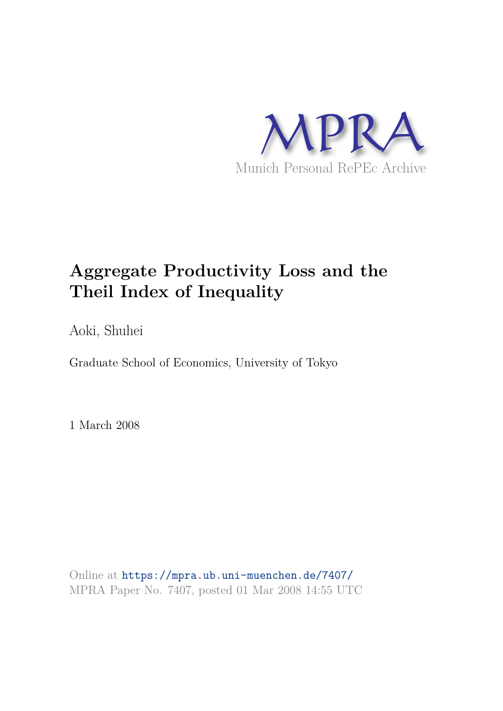

## **Aggregate Productivity Loss and the Theil Index of Inequality**

Aoki, Shuhei

Graduate School of Economics, University of Tokyo

1 March 2008

Online at https://mpra.ub.uni-muenchen.de/7407/ MPRA Paper No. 7407, posted 01 Mar 2008 14:55 UTC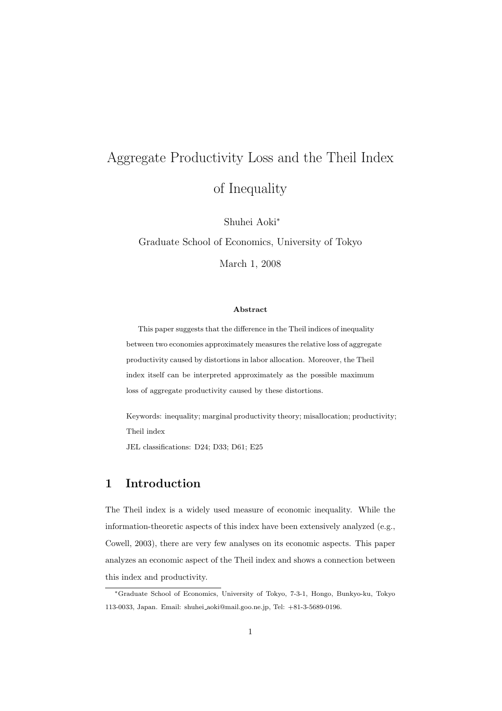# Aggregate Productivity Loss and the Theil Index of Inequality

Shuhei Aoki<sup>∗</sup>

Graduate School of Economics, University of Tokyo

March 1, 2008

#### Abstract

This paper suggests that the difference in the Theil indices of inequality between two economies approximately measures the relative loss of aggregate productivity caused by distortions in labor allocation. Moreover, the Theil index itself can be interpreted approximately as the possible maximum loss of aggregate productivity caused by these distortions.

Keywords: inequality; marginal productivity theory; misallocation; productivity; Theil index

JEL classifications: D24; D33; D61; E25

#### 1 Introduction

The Theil index is a widely used measure of economic inequality. While the information-theoretic aspects of this index have been extensively analyzed (e.g., Cowell, 2003), there are very few analyses on its economic aspects. This paper analyzes an economic aspect of the Theil index and shows a connection between this index and productivity.

<sup>∗</sup>Graduate School of Economics, University of Tokyo, 7-3-1, Hongo, Bunkyo-ku, Tokyo 113-0033, Japan. Email: shuhei aoki@mail.goo.ne.jp, Tel: +81-3-5689-0196.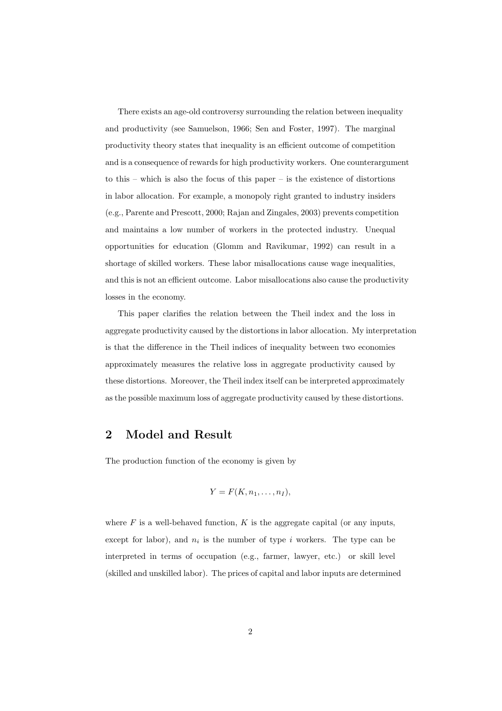There exists an age-old controversy surrounding the relation between inequality and productivity (see Samuelson, 1966; Sen and Foster, 1997). The marginal productivity theory states that inequality is an efficient outcome of competition and is a consequence of rewards for high productivity workers. One counterargument to this – which is also the focus of this paper – is the existence of distortions in labor allocation. For example, a monopoly right granted to industry insiders (e.g., Parente and Prescott, 2000; Rajan and Zingales, 2003) prevents competition and maintains a low number of workers in the protected industry. Unequal opportunities for education (Glomm and Ravikumar, 1992) can result in a shortage of skilled workers. These labor misallocations cause wage inequalities, and this is not an efficient outcome. Labor misallocations also cause the productivity losses in the economy.

This paper clarifies the relation between the Theil index and the loss in aggregate productivity caused by the distortions in labor allocation. My interpretation is that the difference in the Theil indices of inequality between two economies approximately measures the relative loss in aggregate productivity caused by these distortions. Moreover, the Theil index itself can be interpreted approximately as the possible maximum loss of aggregate productivity caused by these distortions.

#### 2 Model and Result

The production function of the economy is given by

$$
Y = F(K, n_1, \ldots, n_I),
$$

where  $F$  is a well-behaved function,  $K$  is the aggregate capital (or any inputs, except for labor), and  $n_i$  is the number of type i workers. The type can be interpreted in terms of occupation (e.g., farmer, lawyer, etc.) or skill level (skilled and unskilled labor). The prices of capital and labor inputs are determined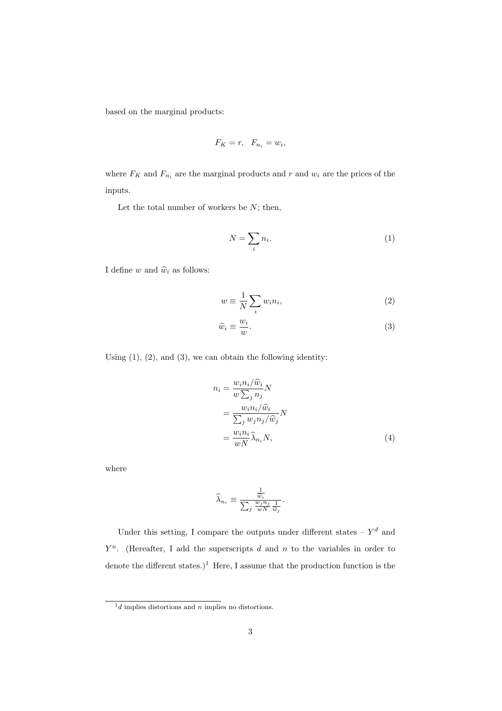based on the marginal products:

$$
F_K = r, \quad F_{n_i} = w_i,
$$

where  $F_K$  and  $F_{n_i}$  are the marginal products and  $r$  and  $w_i$  are the prices of the inputs.

Let the total number of workers be  $N$ ; then,

$$
N = \sum_{i} n_i. \tag{1}
$$

I define  $w$  and  $\widehat{w}_i$  as follows:

$$
w \equiv \frac{1}{N} \sum_{i} w_i n_i,
$$
\n(2)

$$
\widehat{w}_i \equiv \frac{w_i}{w}.\tag{3}
$$

Using  $(1)$ ,  $(2)$ , and  $(3)$ , we can obtain the following identity:

$$
n_i = \frac{w_i n_i / \hat{w}_i}{w \sum_j n_j} N
$$
  
= 
$$
\frac{w_i n_i / \hat{w}_i}{\sum_j w_j n_j / \hat{w}_j} N
$$
  
= 
$$
\frac{w_i n_i}{w N} \hat{\lambda}_{n_i} N,
$$
 (4)

where

$$
\widehat{\lambda}_{n_i} \equiv \frac{\frac{1}{\widehat{w}_i}}{\sum_j \frac{w_j n_j}{wN} \frac{1}{\widehat{w}_j}}.
$$

Under this setting, I compare the outputs under different states  $-Y<sup>d</sup>$  and  $Y<sup>n</sup>$ . (Hereafter, I add the superscripts d and n to the variables in order to denote the different states.)<sup>1</sup> Here, I assume that the production function is the

 $\frac{1}{d}$  implies distortions and n implies no distortions.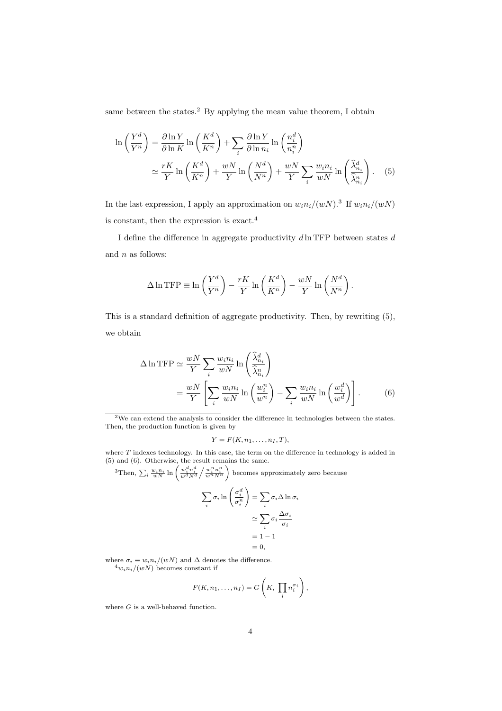same between the states.<sup>2</sup> By applying the mean value theorem, I obtain

$$
\ln\left(\frac{Y^d}{Y^n}\right) = \frac{\partial \ln Y}{\partial \ln K} \ln\left(\frac{K^d}{K^n}\right) + \sum_i \frac{\partial \ln Y}{\partial \ln n_i} \ln\left(\frac{n_i^d}{n_i^n}\right)
$$
  

$$
\simeq \frac{rK}{Y} \ln\left(\frac{K^d}{K^n}\right) + \frac{wN}{Y} \ln\left(\frac{N^d}{N^n}\right) + \frac{wN}{Y} \sum_i \frac{w_i n_i}{wN} \ln\left(\frac{\hat{\lambda}_{n_i}^d}{\hat{\lambda}_{n_i}^n}\right). \tag{5}
$$

In the last expression, I apply an approximation on  $w_i n_i/(wN)$ .<sup>3</sup> If  $w_i n_i/(wN)$ is constant, then the expression is exact.<sup>4</sup>

I define the difference in aggregate productivity  $d \ln \text{TFP}$  between states  $d$ and  $n$  as follows:

$$
\Delta \ln \text{TFP} \equiv \ln \left( \frac{Y^d}{Y^n} \right) - \frac{rK}{Y} \ln \left( \frac{K^d}{K^n} \right) - \frac{wN}{Y} \ln \left( \frac{N^d}{N^n} \right).
$$

This is a standard definition of aggregate productivity. Then, by rewriting (5), we obtain

$$
\Delta \ln \text{TFP} \simeq \frac{wN}{Y} \sum_{i} \frac{w_i n_i}{wN} \ln \left( \frac{\hat{\lambda}_{n_i}^d}{\hat{\lambda}_{n_i}^n} \right)
$$
  
=  $\frac{wN}{Y} \left[ \sum_{i} \frac{w_i n_i}{wN} \ln \left( \frac{w_i^n}{w^n} \right) - \sum_{i} \frac{w_i n_i}{wN} \ln \left( \frac{w_i^d}{w^d} \right) \right].$  (6)

 $^{2}\mathrm{We}$  can extend the analysis to consider the difference in technologies between the states. Then, the production function is given by

$$
Y = F(K, n_1, \ldots, n_I, T),
$$

where  $T$  indexes technology. In this case, the term on the difference in technology is added in (5) and (6). Otherwise, the result remains the same.

<sup>3</sup>Then, 
$$
\sum_i \frac{w_i n_i}{wN} \ln \left( \frac{w_i^d n_i^d}{w^d N^d} / \frac{w_i^n n_i^n}{w^n N^n} \right)
$$
 becomes approximately zero because

$$
\sum_{i} \sigma_{i} \ln \left( \frac{\sigma_{i}^{d}}{\sigma_{i}^{n}} \right) = \sum_{i} \sigma_{i} \Delta \ln \sigma_{i}
$$

$$
\simeq \sum_{i} \sigma_{i} \frac{\Delta \sigma_{i}}{\sigma_{i}}
$$

$$
= 1 - 1
$$

$$
= 0,
$$

where  $\sigma_i \equiv w_i n_i/(wN)$  and  $\Delta$  denotes the difference.

 $\frac{4}{w_i n_i}{\sqrt{(wN)}}$  becomes constant if

$$
F(K, n_1, \ldots, n_I) = G\left(K, \prod_i n_i^{\sigma_i}\right),
$$

where  $G$  is a well-behaved function.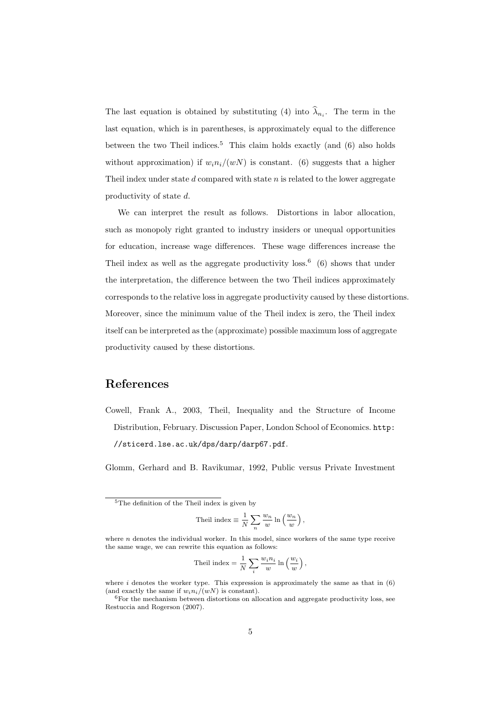The last equation is obtained by substituting (4) into  $\lambda_{n_i}$ . The term in the last equation, which is in parentheses, is approximately equal to the difference between the two Theil indices.<sup>5</sup> This claim holds exactly (and  $(6)$  also holds without approximation) if  $w_i n_i/(wN)$  is constant. (6) suggests that a higher Theil index under state  $d$  compared with state  $n$  is related to the lower aggregate productivity of state d.

We can interpret the result as follows. Distortions in labor allocation, such as monopoly right granted to industry insiders or unequal opportunities for education, increase wage differences. These wage differences increase the Theil index as well as the aggregate productivity loss.<sup>6</sup> (6) shows that under the interpretation, the difference between the two Theil indices approximately corresponds to the relative loss in aggregate productivity caused by these distortions. Moreover, since the minimum value of the Theil index is zero, the Theil index itself can be interpreted as the (approximate) possible maximum loss of aggregate productivity caused by these distortions.

### References

Cowell, Frank A., 2003, Theil, Inequality and the Structure of Income Distribution, February. Discussion Paper, London School of Economics. http: //sticerd.lse.ac.uk/dps/darp/darp67.pdf.

Glomm, Gerhard and B. Ravikumar, 1992, Public versus Private Investment

Theil index 
$$
\equiv \frac{1}{N} \sum_{n} \frac{w_n}{w} \ln\left(\frac{w_n}{w}\right)
$$
,

$$
Theil index = \frac{1}{N} \sum_{i} \frac{w_i n_i}{w} \ln\left(\frac{w_i}{w}\right),\,
$$

<sup>5</sup>The definition of the Theil index is given by

where  $n$  denotes the individual worker. In this model, since workers of the same type receive the same wage, we can rewrite this equation as follows:

where  $i$  denotes the worker type. This expression is approximately the same as that in  $(6)$ (and exactly the same if  $w_i n_i/(wN)$  is constant).

 $6$ For the mechanism between distortions on allocation and aggregate productivity loss, see Restuccia and Rogerson (2007).